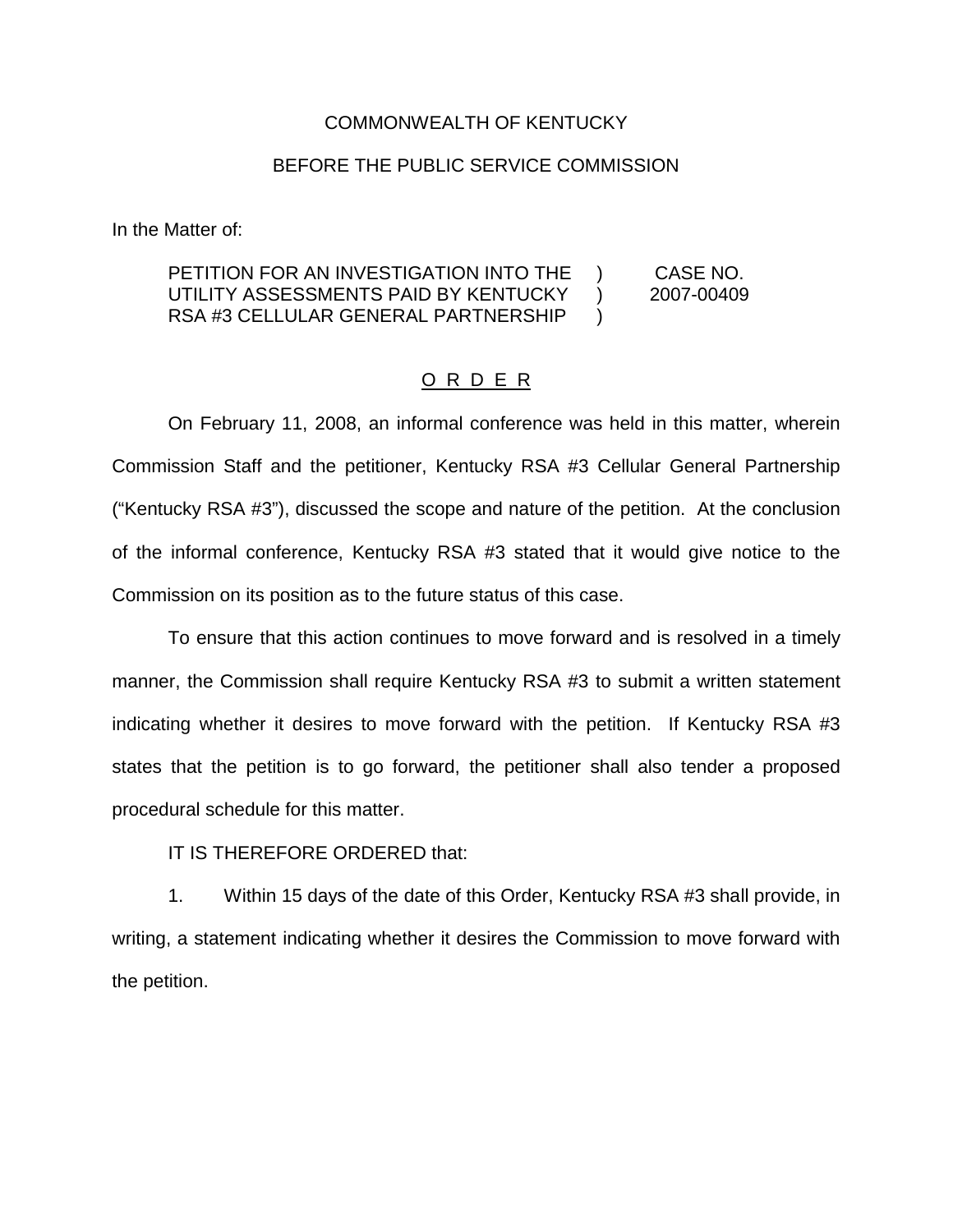## COMMONWEALTH OF KENTUCKY

## BEFORE THE PUBLIC SERVICE COMMISSION

In the Matter of:

## PETITION FOR AN INVESTIGATION INTO THE UTILITY ASSESSMENTS PAID BY KENTUCKY RSA #3 CELLULAR GENERAL PARTNERSHIP ) CASE NO. ) 2007-00409  $\lambda$

## O R D E R

On February 11, 2008, an informal conference was held in this matter, wherein Commission Staff and the petitioner, Kentucky RSA #3 Cellular General Partnership ("Kentucky RSA #3"), discussed the scope and nature of the petition. At the conclusion of the informal conference, Kentucky RSA #3 stated that it would give notice to the Commission on its position as to the future status of this case.

To ensure that this action continues to move forward and is resolved in a timely manner, the Commission shall require Kentucky RSA #3 to submit a written statement indicating whether it desires to move forward with the petition. If Kentucky RSA #3 states that the petition is to go forward, the petitioner shall also tender a proposed procedural schedule for this matter.

IT IS THEREFORE ORDERED that:

1. Within 15 days of the date of this Order, Kentucky RSA #3 shall provide, in writing, a statement indicating whether it desires the Commission to move forward with the petition.